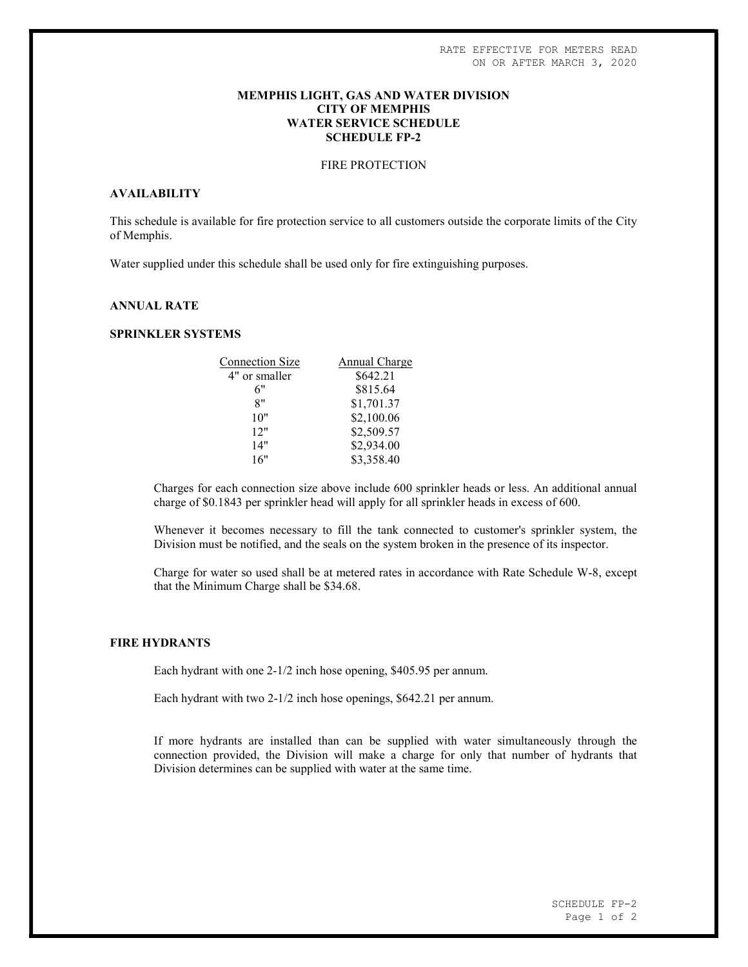### MEMPHIS LIGHT, GAS AND WATER DIVISION CITY OF MEMPHIS WATER SERVICE SCHEDULE SCHEDULE FP-2

# FIRE PROTECTION

# AVAILABILITY

This schedule is available for fire protection service to all customers outside the corporate limits of the City of Memphis.

Water supplied under this schedule shall be used only for fire extinguishing purposes.

# ANNUAL RATE

### SPRINKLER SYSTEMS

| <b>Connection Size</b> | Annual Charge |
|------------------------|---------------|
| 4" or smaller          | \$642.21      |
| 6"                     | \$815.64      |
| 8"                     | \$1,701.37    |
| 10"                    | \$2,100.06    |
| 12"                    | \$2,509.57    |
| 14"                    | \$2,934.00    |
| 16"                    | \$3,358.40    |
|                        |               |

Charges for each connection size above include 600 sprinkler heads or less. An additional annual charge of \$0.1843 per sprinkler head will apply for all sprinkler heads in excess of 600.

Whenever it becomes necessary to fill the tank connected to customer's sprinkler system, the Division must be notified, and the seals on the system broken in the presence of its inspector.

Charge for water so used shall be at metered rates in accordance with Rate Schedule W-8, except that the Minimum Charge shall be \$34.68.

#### FIRE HYDRANTS

Each hydrant with one 2-1/2 inch hose opening, \$405.95 per annum.

Each hydrant with two 2-1/2 inch hose openings, \$642.21 per annum.

If more hydrants are installed than can be supplied with water simultaneously through the connection provided, the Division will make a charge for only that number of hydrants that Division determines can be supplied with water at the same time.